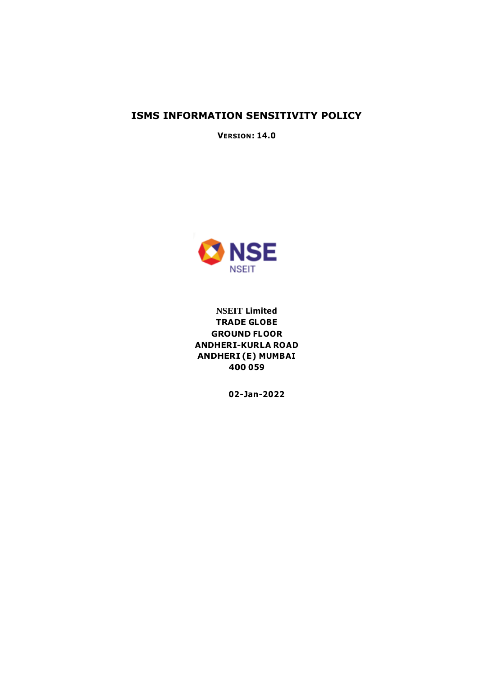### **ISMS INFORMATION SENSITIVITY POLICY**

**VERSION: 14.0**



**NSEIT Limited TRADE GLOBE GROUND FLOOR ANDHERI-KURLA ROAD ANDHERI (E) MUMBAI 400 059**

**02-Jan-2022**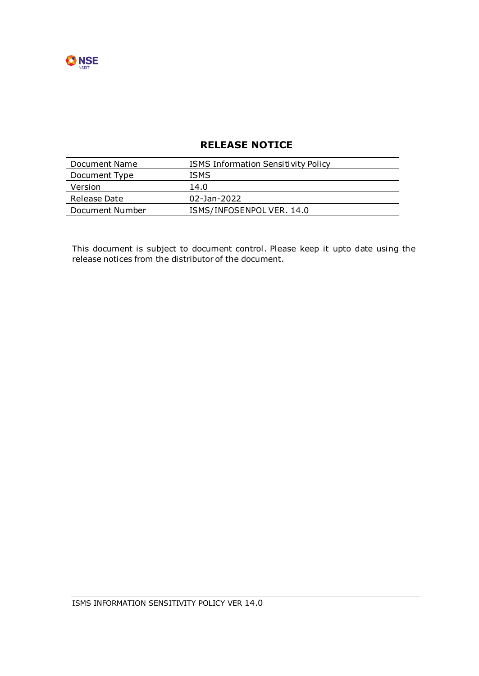

### **RELEASE NOTICE**

| l Document Name | <b>ISMS Information Sensitivity Policy</b> |
|-----------------|--------------------------------------------|
| Document Type   | <b>ISMS</b>                                |
| Version         | 14.0                                       |
| Release Date    | 02-Jan-2022                                |
| Document Number | ISMS/INFOSENPOLVER. 14.0                   |

This document is subject to document control. Please keep it upto date using the release notices from the distributor of the document.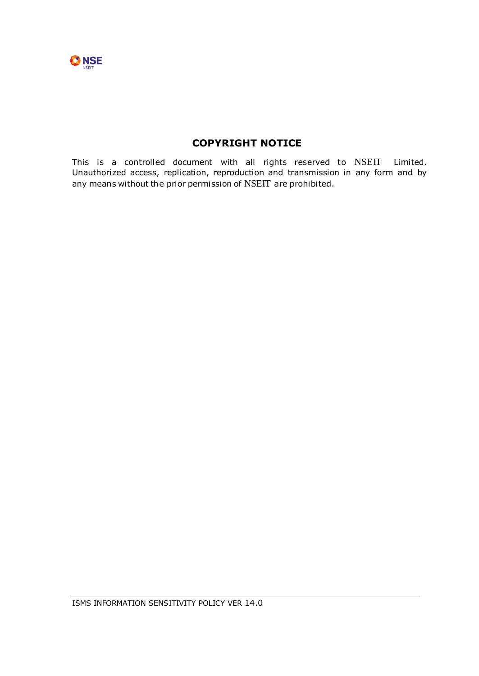

## **COPYRIGHT NOTICE**

This is a controlled document with all rights reserved to NSEIT Limited. Unauthorized access, replication, reproduction and transmission in any form and by any means without the prior permission of NSEIT are prohibited.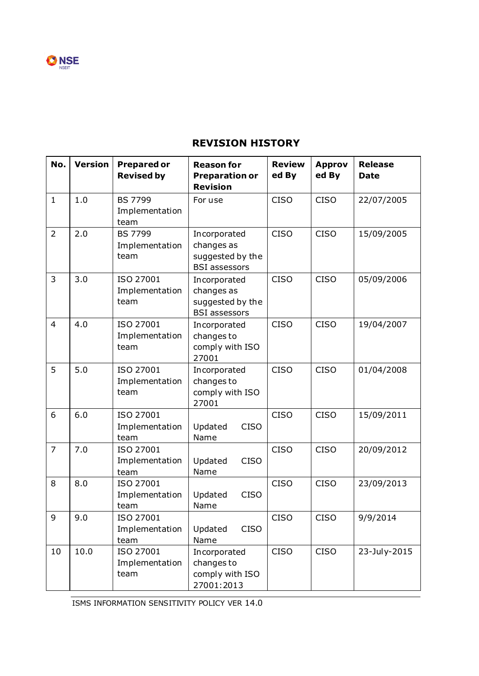

# **REVISION HISTORY**

| No.            | <b>Version</b> | <b>Prepared or</b><br><b>Revised by</b>  | <b>Reason for</b><br><b>Preparation or</b><br><b>Revision</b>          | <b>Review</b><br>ed By | <b>Approv</b><br>ed By | <b>Release</b><br><b>Date</b> |
|----------------|----------------|------------------------------------------|------------------------------------------------------------------------|------------------------|------------------------|-------------------------------|
| $\mathbf{1}$   | 1.0            | <b>BS 7799</b><br>Implementation<br>team | For use                                                                | <b>CISO</b>            | <b>CISO</b>            | 22/07/2005                    |
| $\overline{2}$ | 2.0            | <b>BS 7799</b><br>Implementation<br>team | Incorporated<br>changes as<br>suggested by the<br><b>BSI</b> assessors | <b>CISO</b>            | <b>CISO</b>            | 15/09/2005                    |
| 3              | 3.0            | ISO 27001<br>Implementation<br>team      | Incorporated<br>changes as<br>suggested by the<br><b>BSI</b> assessors | <b>CISO</b>            | <b>CISO</b>            | 05/09/2006                    |
| $\overline{4}$ | 4.0            | ISO 27001<br>Implementation<br>team      | Incorporated<br>changes to<br>comply with ISO<br>27001                 | <b>CISO</b>            | <b>CISO</b>            | 19/04/2007                    |
| 5              | 5.0            | ISO 27001<br>Implementation<br>team      | Incorporated<br>changes to<br>comply with ISO<br>27001                 | <b>CISO</b>            | <b>CISO</b>            | 01/04/2008                    |
| 6              | 6.0            | ISO 27001<br>Implementation<br>team      | <b>CISO</b><br>Updated<br>Name                                         | <b>CISO</b>            | <b>CISO</b>            | 15/09/2011                    |
| $\overline{7}$ | 7.0            | ISO 27001<br>Implementation<br>team      | Updated<br><b>CISO</b><br>Name                                         | <b>CISO</b>            | <b>CISO</b>            | 20/09/2012                    |
| 8              | 8.0            | ISO 27001<br>Implementation<br>team      | <b>CISO</b><br>Updated<br>Name                                         | <b>CISO</b>            | <b>CISO</b>            | 23/09/2013                    |
| 9              | 9.0            | ISO 27001<br>Implementation<br>team      | Updated<br><b>CISO</b><br>Name                                         | <b>CISO</b>            | <b>CISO</b>            | 9/9/2014                      |
| 10             | 10.0           | ISO 27001<br>Implementation<br>team      | Incorporated<br>changes to<br>comply with ISO<br>27001:2013            | <b>CISO</b>            | <b>CISO</b>            | 23-July-2015                  |

ISMS INFORMATION SENSITIVITY POLICY VER 14.0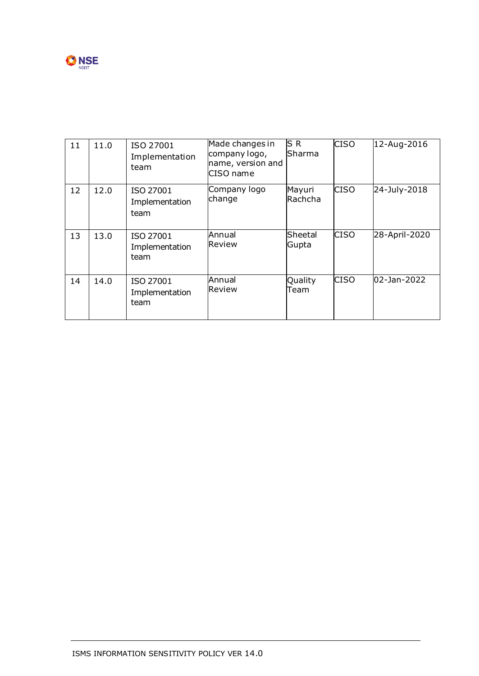

| 11 | 11.0 | ISO 27001<br>Implementation<br>team | Made changes in<br>company logo,<br>name, version and<br>CISO name | ls R<br>Sharma    | <b>CISO</b> | 12-Aug-2016   |
|----|------|-------------------------------------|--------------------------------------------------------------------|-------------------|-------------|---------------|
| 12 | 12.0 | ISO 27001<br>Implementation<br>team | Company logo<br>change                                             | Mayuri<br>Rachcha | <b>CISO</b> | 24-July-2018  |
| 13 | 13.0 | ISO 27001<br>Implementation<br>team | Annual<br>Review                                                   | Sheetal<br>Gupta  | <b>CISO</b> | 28-April-2020 |
| 14 | 14.0 | ISO 27001<br>Implementation<br>team | Annual<br>Review                                                   | Quality<br>Team   | <b>CISO</b> | 02-Jan-2022   |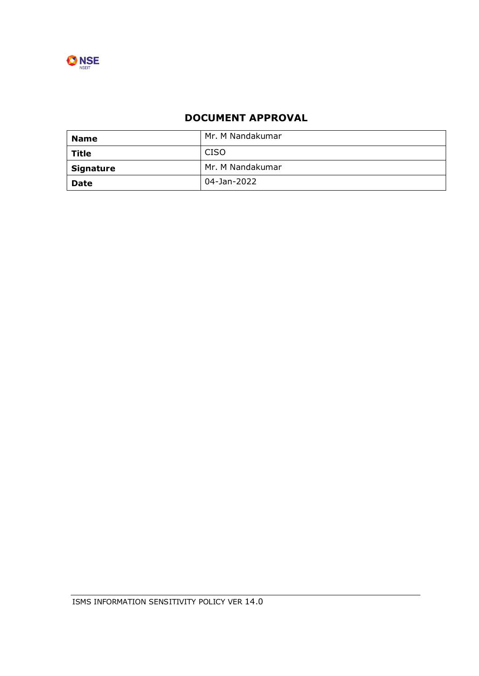

# **DOCUMENT APPROVAL**

| <b>Name</b>      | Mr. M Nandakumar |
|------------------|------------------|
| <b>Title</b>     | <b>CISO</b>      |
| <b>Signature</b> | Mr. M Nandakumar |
| <b>Date</b>      | 04-Jan-2022      |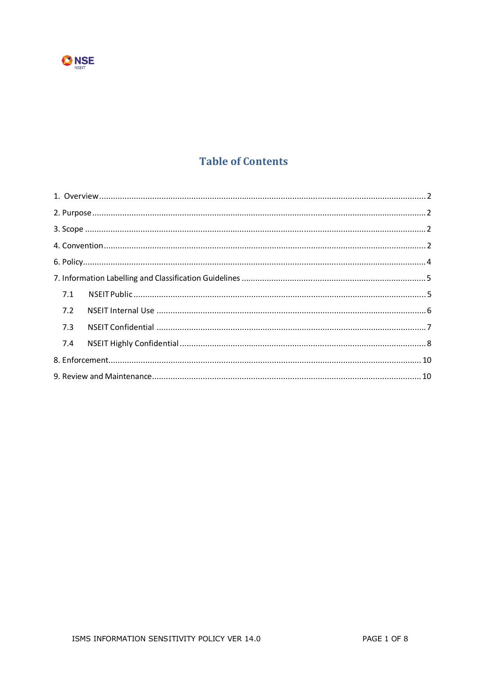

# **Table of Contents**

| 7.1 |  |
|-----|--|
| 7.2 |  |
| 7.3 |  |
| 7.4 |  |
|     |  |
|     |  |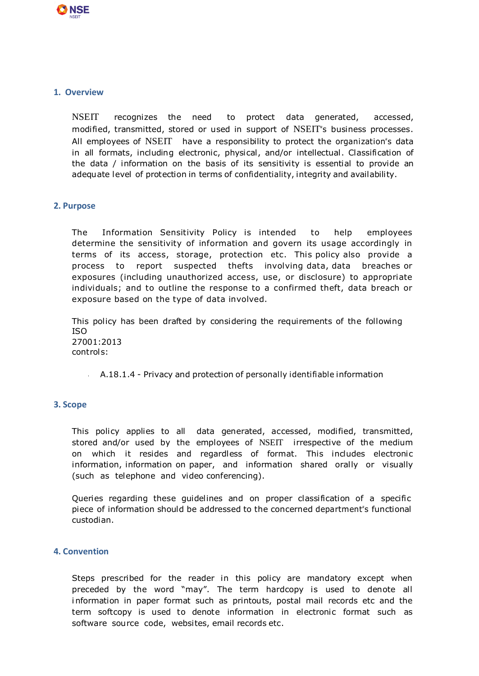

#### **1. Overview**

NSEIT recognizes the need to protect data generated, accessed, modified, transmitted, stored or used in support of NSEIT"s business processes. All employees of NSEIT have a responsibility to protect the organization's data in all formats, including electronic, physical, and/or intellectual. Classification of the data / information on the basis of its sensitivity is essential to provide an adequate level of protection in terms of confidentiality, integrity and availability.

#### **2. Purpose**

The Information Sensitivity Policy is intended to help employees determine the sensitivity of information and govern its usage accordingly in terms of its access, storage, protection etc. This policy also provide a process to report suspected thefts involving data, data breaches or exposures (including unauthorized access, use, or disclosure) to appropriate individuals; and to outline the response to a confirmed theft, data breach or exposure based on the type of data involved.

This policy has been drafted by considering the requirements of the following ISO 27001:2013 controls:

 $A.18.1.4$  - Privacy and protection of personally identifiable information

#### **3. Scope**

This policy applies to all data generated, accessed, modified, transmitted, stored and/or used by the employees of NSEIT irrespective of the medium on which it resides and regardless of format. This includes electronic information, information on paper, and information shared orally or visually (such as telephone and video conferencing).

Queries regarding these guidelines and on proper classification of a specific piece of information should be addressed to the concerned department"s functional custodian.

#### **4. Convention**

Steps prescribed for the reader in this policy are mandatory except when preceded by the word "may". The term hardcopy is used to denote all information in paper format such as printouts, postal mail records etc and the term softcopy is used to denote information in electronic format such as software source code, websites, email records etc.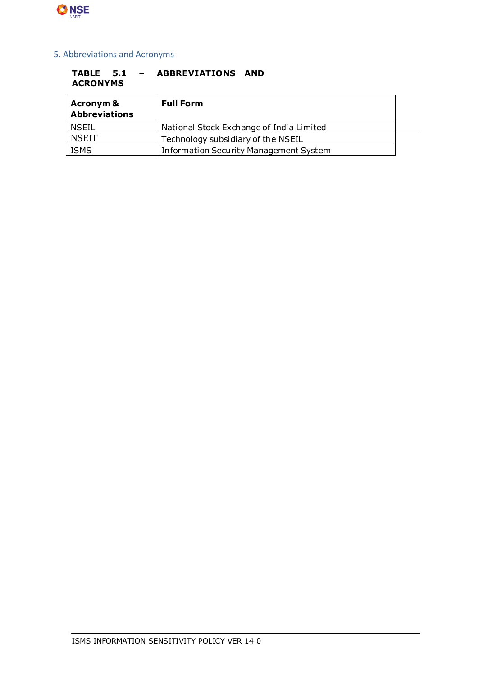

### 5. Abbreviations and Acronyms

#### **TABLE 5.1 – ABBREVIATIONS AND ACRONYMS**

| <b>Acronym &amp;</b><br><b>Abbreviations</b> | <b>Full Form</b>                              |  |
|----------------------------------------------|-----------------------------------------------|--|
| NSEIL                                        | National Stock Exchange of India Limited      |  |
| <b>NSEIT</b>                                 | Technology subsidiary of the NSEIL            |  |
| <b>ISMS</b>                                  | <b>Information Security Management System</b> |  |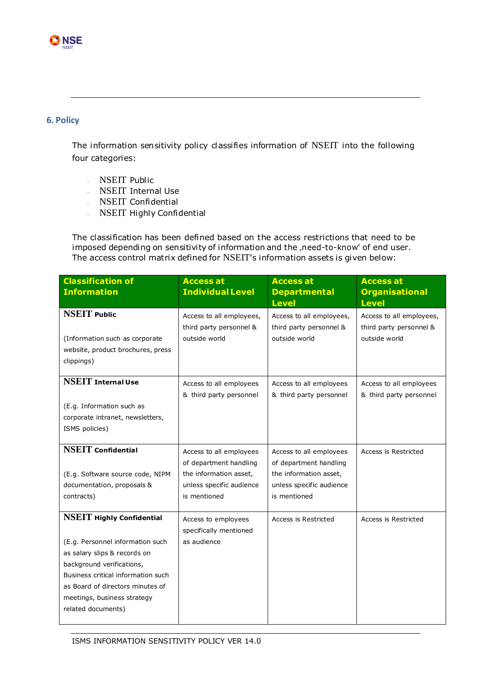

### **6. Policy**

The information sensitivity policy classifies information of NSEIT into the following four categories:

- NSEIT Public
- **NSEIT Internal Use**
- **NSEIT Confidential**
- NSEIT Highly Confidential

The classification has been defined based on the access restrictions that need to be imposed depending on sensitivity of information and the "need-to-know" of end user. The access control matrix defined for NSEIT"s information assets is given below:

| <b>Classification of</b><br><b>Information</b>                                                                                                                                                                                                                   | <b>Access at</b><br><b>Individual Level</b>                                                                             | <b>Access at</b><br><b>Departmental</b><br><b>Level</b>                                                                 | <b>Access at</b><br><b>Organisational</b><br><b>Level</b>            |
|------------------------------------------------------------------------------------------------------------------------------------------------------------------------------------------------------------------------------------------------------------------|-------------------------------------------------------------------------------------------------------------------------|-------------------------------------------------------------------------------------------------------------------------|----------------------------------------------------------------------|
| <b>NSEIT Public</b><br>(Information such as corporate<br>website, product brochures, press<br>clippings)                                                                                                                                                         | Access to all employees,<br>third party personnel &<br>outside world                                                    | Access to all employees,<br>third party personnel &<br>outside world                                                    | Access to all employees,<br>third party personnel &<br>outside world |
| <b>NSEIT</b> Internal Use<br>(E.g. Information such as<br>corporate intranet, newsletters,<br>ISMS policies)                                                                                                                                                     | Access to all employees<br>& third party personnel                                                                      | Access to all employees<br>& third party personnel                                                                      | Access to all employees<br>& third party personnel                   |
| <b>NSEIT</b> Confidential<br>(E.g. Software source code, NIPM<br>documentation, proposals &<br>contracts)                                                                                                                                                        | Access to all employees<br>of department handling<br>the information asset,<br>unless specific audience<br>is mentioned | Access to all employees<br>of department handling<br>the information asset,<br>unless specific audience<br>is mentioned | Access is Restricted                                                 |
| <b>NSEIT Highly Confidential</b><br>(E.g. Personnel information such<br>as salary slips & records on<br>background verifications,<br>Business critical information such<br>as Board of directors minutes of<br>meetings, business strategy<br>related documents) | Access to employees<br>specifically mentioned<br>as audience                                                            | Access is Restricted                                                                                                    | Access is Restricted                                                 |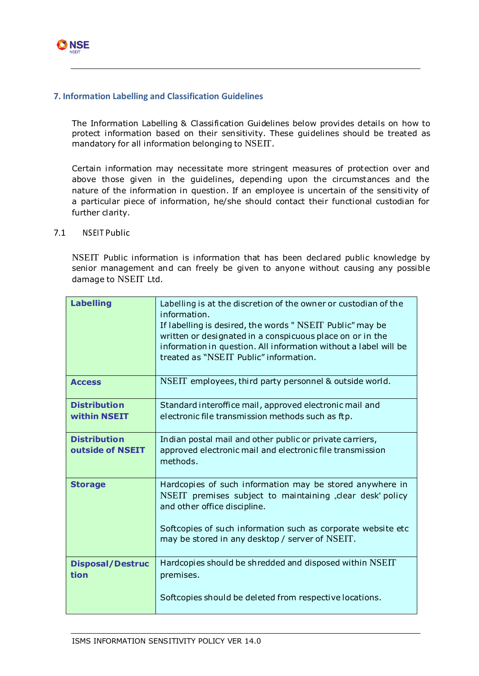

### **7. Information Labelling and Classification Guidelines**

The Information Labelling & Classification Guidelines below provides details on how to protect information based on their sensitivity. These guidelines should be treated as mandatory for all information belonging to NSEIT.

Certain information may necessitate more stringent measures of protection over and above those given in the guidelines, depending upon the circumstances and the nature of the information in question. If an employee is uncertain of the sensitivity of a particular piece of information, he/she should contact their functional custodian for further clarity.

#### 7.1 NSEIT Public

NSEIT Public information is information that has been declared public knowledge by senior management and can freely be given to anyone without causing any possible damage to NSEIT Ltd.

| <b>Labelling</b>                        | Labelling is at the discretion of the owner or custodian of the<br>information.<br>If labelling is desired, the words " NSEIT Public" may be<br>written or designated in a conspicuous place on or in the<br>information in question. All information without a label will be<br>treated as "NSEIT Public" information. |
|-----------------------------------------|-------------------------------------------------------------------------------------------------------------------------------------------------------------------------------------------------------------------------------------------------------------------------------------------------------------------------|
| <b>Access</b>                           | NSEIT employees, third party personnel & outside world.                                                                                                                                                                                                                                                                 |
| <b>Distribution</b><br>within NSEIT     | Standard interoffice mail, approved electronic mail and<br>electronic file transmission methods such as ftp.                                                                                                                                                                                                            |
| <b>Distribution</b><br>outside of NSEIT | Indian postal mail and other public or private carriers,<br>approved electronic mail and electronic file transmission<br>methods.                                                                                                                                                                                       |
| <b>Storage</b>                          | Hardcopies of such information may be stored anywhere in<br>NSEIT premises subject to maintaining "clear desk" policy<br>and other office discipline.<br>Softcopies of such information such as corporate website etc<br>may be stored in any desktop / server of NSEIT.                                                |
|                                         |                                                                                                                                                                                                                                                                                                                         |
| <b>Disposal/Destruc</b><br>tion         | Hardcopies should be shredded and disposed within NSEIT<br>premises.                                                                                                                                                                                                                                                    |
|                                         | Softcopies should be deleted from respective locations.                                                                                                                                                                                                                                                                 |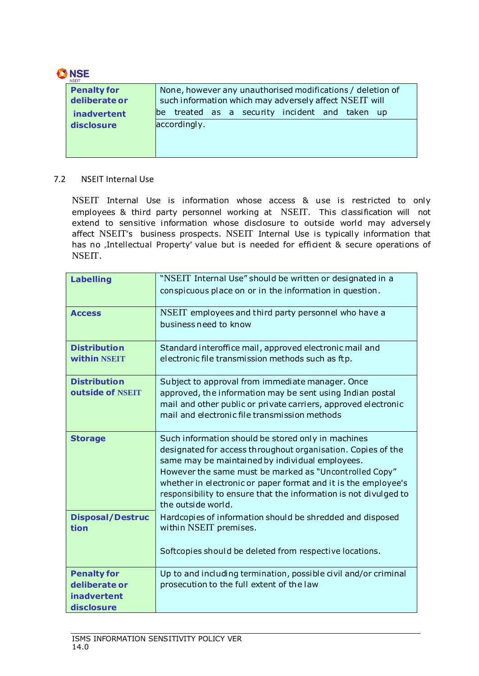

| NSEIT                               |                                                                                                                      |  |  |
|-------------------------------------|----------------------------------------------------------------------------------------------------------------------|--|--|
| <b>Penalty for</b><br>deliberate or | None, however any unauthorised modifications / deletion of<br>such information which may adversely affect NSEIT will |  |  |
| <b>inadvertent</b>                  | treated as a security incident and taken up<br>be -                                                                  |  |  |
| disclosure                          | accordingly.                                                                                                         |  |  |
|                                     |                                                                                                                      |  |  |
|                                     |                                                                                                                      |  |  |

### 7.2 NSEIT Internal Use

NSEIT Internal Use is information whose access & use is restricted to only employees & third party personnel working at NSEIT. This classification will not extend to sensitive information whose disclosure to outside world may adversely affect NSEIT"s business prospects. NSEIT Internal Use is typically information that has no "Intellectual Property" value but is needed for efficient & secure operations of NSEIT.

| <b>Labelling</b>                                                        | "NSEIT Internal Use" should be written or designated in a<br>conspicuous place on or in the information in question.                                                                                                                                                                                                                                                                        |
|-------------------------------------------------------------------------|---------------------------------------------------------------------------------------------------------------------------------------------------------------------------------------------------------------------------------------------------------------------------------------------------------------------------------------------------------------------------------------------|
| <b>Access</b>                                                           | NSEIT employees and third party personnel who have a<br>business need to know                                                                                                                                                                                                                                                                                                               |
| <b>Distribution</b><br>within NSEIT                                     | Standard interoffice mail, approved electronic mail and<br>electronic file transmission methods such as ftp.                                                                                                                                                                                                                                                                                |
| <b>Distribution</b><br>outside of NSEIT                                 | Subject to approval from immediate manager. Once<br>approved, the information may be sent using Indian postal<br>mail and other public or private carriers, approved electronic<br>mail and electronic file transmission methods                                                                                                                                                            |
| <b>Storage</b>                                                          | Such information should be stored only in machines<br>designated for access throughout organisation. Copies of the<br>same may be maintained by individual employees.<br>However the same must be marked as "Uncontrolled Copy"<br>whether in electronic or paper format and it is the employee's<br>responsibility to ensure that the information is not divulged to<br>the outside world. |
| <b>Disposal/Destruc</b><br>tion                                         | Hardcopies of information should be shredded and disposed<br>within NSEIT premises.                                                                                                                                                                                                                                                                                                         |
|                                                                         | Softcopies should be deleted from respective locations.                                                                                                                                                                                                                                                                                                                                     |
| <b>Penalty for</b><br>deliberate or<br><b>inadvertent</b><br>disclosure | Up to and including termination, possible civil and/or criminal<br>prosecution to the full extent of the law                                                                                                                                                                                                                                                                                |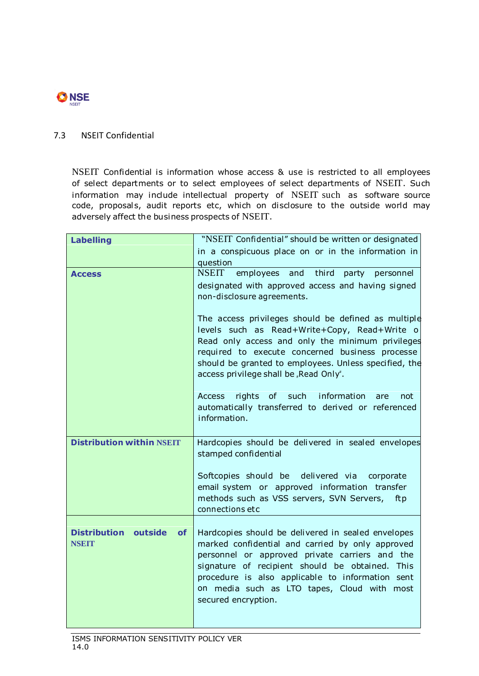

### 7.3 NSEIT Confidential

NSEIT Confidential is information whose access & use is restricted to all employees of select departments or to select employees of select departments of NSEIT. Such information may include intellectual property of NSEIT such as software source code, proposals, audit reports etc, which on disclosure to the outside world may adversely affect the business prospects of NSEIT.

| <b>Labelling</b>                         | "NSEIT Confidential" should be written or designated                                                   |
|------------------------------------------|--------------------------------------------------------------------------------------------------------|
|                                          | in a conspicuous place on or in the information in                                                     |
|                                          | question                                                                                               |
| <b>Access</b>                            | NSEIT employees and third party personnel                                                              |
|                                          | designated with approved access and having signed                                                      |
|                                          | non-disclosure agreements.                                                                             |
|                                          | The access privileges should be defined as multiple                                                    |
|                                          | levels such as Read+Write+Copy, Read+Write o                                                           |
|                                          | Read only access and only the minimum privileges                                                       |
|                                          | required to execute concerned business processe                                                        |
|                                          | should be granted to employees. Unless specified, the<br>access privilege shall be "Read Only".        |
|                                          |                                                                                                        |
|                                          | rights of such information<br>Access<br>not<br>are                                                     |
|                                          | automatically transferred to derived or referenced                                                     |
|                                          | information.                                                                                           |
|                                          |                                                                                                        |
| <b>Distribution within NSEIT</b>         | Hardcopies should be delivered in sealed envelopes                                                     |
|                                          | stamped confidential                                                                                   |
|                                          | Softcopies should be delivered via corporate                                                           |
|                                          | email system or approved information transfer                                                          |
|                                          | methods such as VSS servers, SVN Servers, ftp                                                          |
|                                          | connections etc                                                                                        |
| <b>Distribution outside</b><br><b>of</b> |                                                                                                        |
| <b>NSEIT</b>                             | Hardcopies should be delivered in sealed envelopes<br>marked confidential and carried by only approved |
|                                          | personnel or approved private carriers and the                                                         |
|                                          | signature of recipient should be obtained. This                                                        |
|                                          | procedure is also applicable to information sent                                                       |
|                                          | on media such as LTO tapes, Cloud with most                                                            |
|                                          | secured encryption.                                                                                    |
|                                          |                                                                                                        |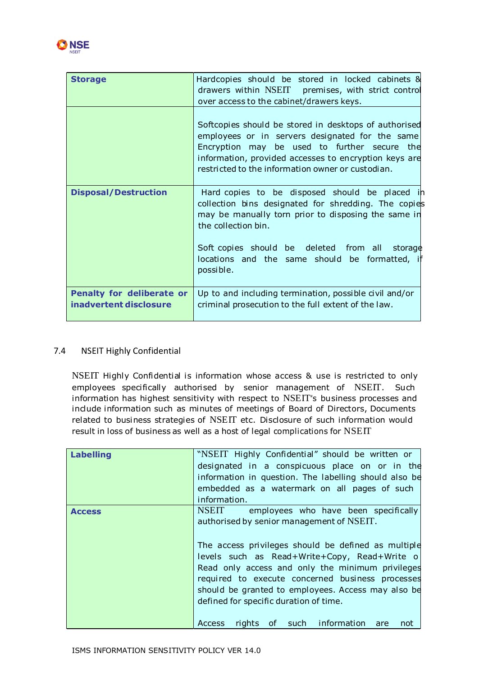

| <b>Storage</b>                                             | Hardcopies should be stored in locked cabinets &<br>drawers within NSEIT premises, with strict control<br>over access to the cabinet/drawers keys.                                                                                                                     |
|------------------------------------------------------------|------------------------------------------------------------------------------------------------------------------------------------------------------------------------------------------------------------------------------------------------------------------------|
|                                                            | Softcopies should be stored in desktops of authorised<br>employees or in servers designated for the same<br>Encryption may be used to further secure the<br>information, provided accesses to encryption keys are<br>restricted to the information owner or custodian. |
| <b>Disposal/Destruction</b>                                | Hard copies to be disposed should be placed in<br>collection bins designated for shredding. The copies<br>may be manually torn prior to disposing the same in<br>the collection bin.                                                                                   |
|                                                            | Soft copies should be deleted from all<br>storage<br>locations and the same should be formatted,<br>possible.                                                                                                                                                          |
| <b>Penalty for deliberate or</b><br>inadvertent disclosure | Up to and including termination, possible civil and/or<br>criminal prosecution to the full extent of the law.                                                                                                                                                          |

### 7.4 NSEIT Highly Confidential

NSEIT Highly Confidential is information whose access & use is restricted to only employees specifically authorised by senior management of NSEIT. Such information has highest sensitivity with respect to NSEIT"s business processes and include information such as minutes of meetings of Board of Directors, Documents related to business strategies of NSEIT etc. Disclosure of such information would result in loss of business as well as a host of legal complications for NSEIT

| <b>Labelling</b> | "NSEIT Highly Confidential" should be written or       |
|------------------|--------------------------------------------------------|
|                  | designated in a conspicuous place on or in the         |
|                  | information in question. The labelling should also be  |
|                  | embedded as a watermark on all pages of such           |
|                  | information.                                           |
| <b>Access</b>    | employees who have been specifically<br><b>NSEIT</b>   |
|                  | authorised by senior management of NSEIT.              |
|                  |                                                        |
|                  | The access privileges should be defined as multiple    |
|                  | levels such as Read+Write+Copy, Read+Write o           |
|                  | Read only access and only the minimum privileges       |
|                  | required to execute concerned business processes       |
|                  | should be granted to employees. Access may also be     |
|                  | defined for specific duration of time.                 |
|                  |                                                        |
|                  | rights of such information are<br><b>Access</b><br>not |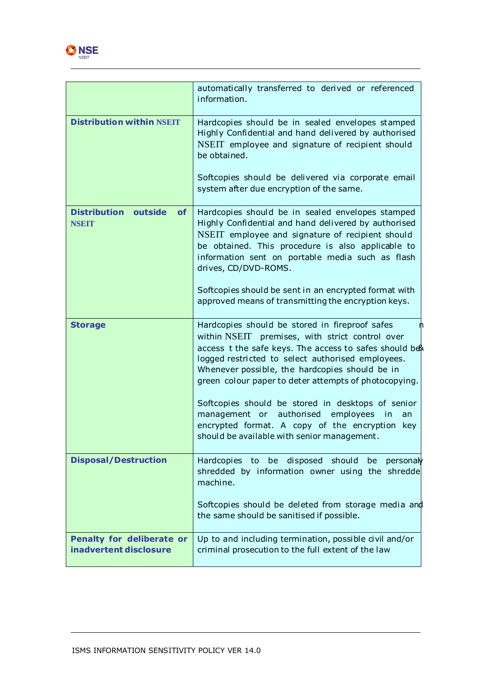

|                                                          | automatically transferred to derived or referenced<br>information.                                                                                                                                                                                                                                                         |
|----------------------------------------------------------|----------------------------------------------------------------------------------------------------------------------------------------------------------------------------------------------------------------------------------------------------------------------------------------------------------------------------|
| <b>Distribution within NSEIT</b>                         | Hardcopies should be in sealed envelopes stamped<br>Highly Confidential and hand delivered by authorised<br>NSEIT employee and signature of recipient should<br>be obtained.                                                                                                                                               |
|                                                          | Softcopies should be delivered via corporate email<br>system after due encryption of the same.                                                                                                                                                                                                                             |
| <b>Distribution outside</b><br><b>of</b><br><b>NSEIT</b> | Hardcopies should be in sealed envelopes stamped<br>Highly Confidential and hand delivered by authorised<br>NSEIT employee and signature of recipient should<br>be obtained. This procedure is also applicable to<br>information sent on portable media such as flash<br>drives, CD/DVD-ROMS.                              |
|                                                          | Softcopies should be sent in an encrypted format with<br>approved means of transmitting the encryption keys.                                                                                                                                                                                                               |
| <b>Storage</b>                                           | Hardcopies should be stored in fireproof safes<br>within NSEIT premises, with strict control over<br>access t the safe keys. The access to safes should be<br>logged restricted to select authorised employees.<br>Whenever possible, the hardcopies should be in<br>green colour paper to deter attempts of photocopying. |
|                                                          | Softcopies should be stored in desktops of senior<br>management or authorised employees<br>in<br>an<br>encrypted format. A copy of the encryption key<br>should be available with senior management.                                                                                                                       |
| <b>Disposal/Destruction</b>                              | Hardcopies to be disposed should be personaly<br>shredded by information owner using the shredde<br>machine.                                                                                                                                                                                                               |
|                                                          | Softcopies should be deleted from storage media and<br>the same should be sanitised if possible.                                                                                                                                                                                                                           |
| Penalty for deliberate or<br>inadvertent disclosure      | Up to and including termination, possible civil and/or<br>criminal prosecution to the full extent of the law                                                                                                                                                                                                               |